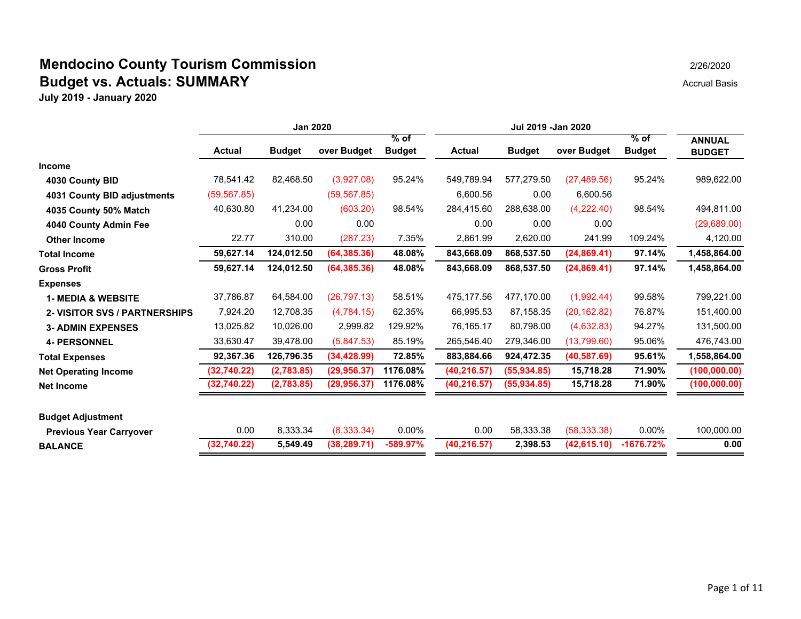|                                | <b>Jan 2020</b> |               |              |               | Jul 2019 - Jan 2020 |               |              |               |               |
|--------------------------------|-----------------|---------------|--------------|---------------|---------------------|---------------|--------------|---------------|---------------|
|                                |                 |               |              | $%$ of        |                     |               |              | % of          | <b>ANNUAL</b> |
|                                | <b>Actual</b>   | <b>Budget</b> | over Budget  | <b>Budget</b> | <b>Actual</b>       | <b>Budget</b> | over Budget  | <b>Budget</b> | <b>BUDGET</b> |
| <b>Income</b>                  |                 |               |              |               |                     |               |              |               |               |
| 4030 County BID                | 78,541.42       | 82,468.50     | (3,927.08)   | 95.24%        | 549,789.94          | 577,279.50    | (27, 489.56) | 95.24%        | 989,622.00    |
| 4031 County BID adjustments    | (59, 567.85)    |               | (59, 567.85) |               | 6,600.56            | 0.00          | 6,600.56     |               |               |
| 4035 County 50% Match          | 40,630.80       | 41,234.00     | (603.20)     | 98.54%        | 284,415.60          | 288,638.00    | (4,222.40)   | 98.54%        | 494,811.00    |
| 4040 County Admin Fee          |                 | 0.00          | 0.00         |               | 0.00                | 0.00          | 0.00         |               | (29,689.00)   |
| <b>Other Income</b>            | 22.77           | 310.00        | (287.23)     | 7.35%         | 2,861.99            | 2,620.00      | 241.99       | 109.24%       | 4,120.00      |
| <b>Total Income</b>            | 59,627.14       | 124,012.50    | (64, 385.36) | 48.08%        | 843,668.09          | 868,537.50    | (24, 869.41) | 97.14%        | 1,458,864.00  |
| <b>Gross Profit</b>            | 59,627.14       | 124,012.50    | (64, 385.36) | 48.08%        | 843,668.09          | 868,537.50    | (24, 869.41) | 97.14%        | 1,458,864.00  |
| <b>Expenses</b>                |                 |               |              |               |                     |               |              |               |               |
| <b>1- MEDIA &amp; WEBSITE</b>  | 37,786.87       | 64,584.00     | (26, 797.13) | 58.51%        | 475,177.56          | 477,170.00    | (1,992.44)   | 99.58%        | 799,221.00    |
| 2- VISITOR SVS / PARTNERSHIPS  | 7,924.20        | 12,708.35     | (4,784.15)   | 62.35%        | 66,995.53           | 87,158.35     | (20, 162.82) | 76.87%        | 151,400.00    |
| <b>3- ADMIN EXPENSES</b>       | 13,025.82       | 10,026.00     | 2,999.82     | 129.92%       | 76,165.17           | 80,798.00     | (4,632.83)   | 94.27%        | 131,500.00    |
| <b>4- PERSONNEL</b>            | 33,630.47       | 39,478.00     | (5,847.53)   | 85.19%        | 265,546.40          | 279,346.00    | (13,799.60)  | 95.06%        | 476,743.00    |
| <b>Total Expenses</b>          | 92,367.36       | 126,796.35    | (34, 428.99) | 72.85%        | 883,884.66          | 924,472.35    | (40, 587.69) | 95.61%        | 1,558,864.00  |
| <b>Net Operating Income</b>    | (32,740.22)     | (2,783.85)    | (29, 956.37) | 1176.08%      | (40, 216.57)        | (55, 934.85)  | 15,718.28    | 71.90%        | (100, 000.00) |
| <b>Net Income</b>              | (32,740.22)     | (2,783.85)    | (29, 956.37) | 1176.08%      | (40, 216.57)        | (55, 934.85)  | 15,718.28    | 71.90%        | (100, 000.00) |
| <b>Budget Adjustment</b>       |                 |               |              |               |                     |               |              |               |               |
| <b>Previous Year Carryover</b> | 0.00            | 8,333.34      | (8,333.34)   | $0.00\%$      | 0.00                | 58,333.38     | (58, 333.38) | $0.00\%$      | 100,000.00    |
| <b>BALANCE</b>                 | (32,740.22)     | 5,549.49      | (38, 289.71) | -589.97%      | (40, 216.57)        | 2,398.53      | (42, 615.10) | $-1676.72%$   | 0.00          |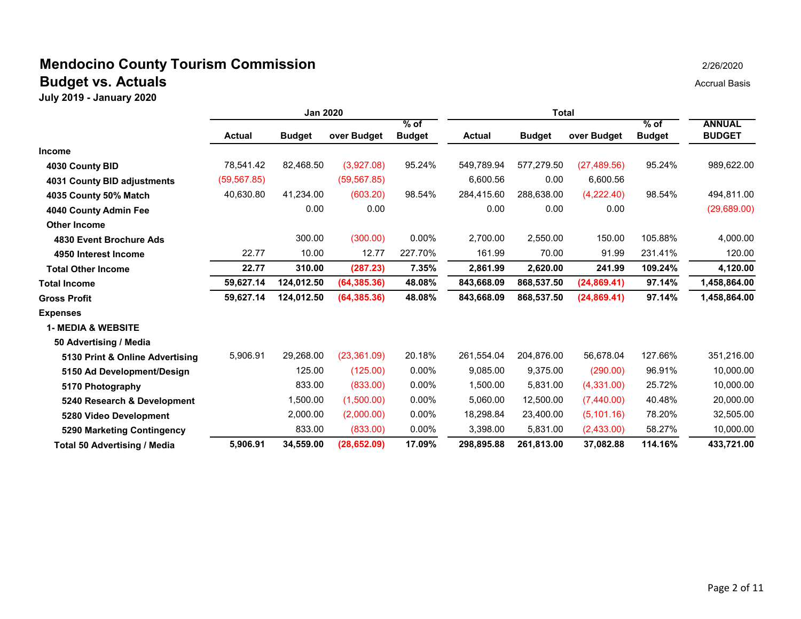|                                     | Jan 2020      |               |              | Total                   |               |               |              |                         |                                |
|-------------------------------------|---------------|---------------|--------------|-------------------------|---------------|---------------|--------------|-------------------------|--------------------------------|
|                                     | <b>Actual</b> | <b>Budget</b> | over Budget  | $%$ of<br><b>Budget</b> | <b>Actual</b> | <b>Budget</b> | over Budget  | $%$ of<br><b>Budget</b> | <b>ANNUAL</b><br><b>BUDGET</b> |
| Income                              |               |               |              |                         |               |               |              |                         |                                |
| 4030 County BID                     | 78,541.42     | 82,468.50     | (3,927.08)   | 95.24%                  | 549,789.94    | 577,279.50    | (27, 489.56) | 95.24%                  | 989,622.00                     |
| 4031 County BID adjustments         | (59, 567.85)  |               | (59, 567.85) |                         | 6,600.56      | 0.00          | 6,600.56     |                         |                                |
| 4035 County 50% Match               | 40,630.80     | 41,234.00     | (603.20)     | 98.54%                  | 284,415.60    | 288,638.00    | (4,222.40)   | 98.54%                  | 494,811.00                     |
| 4040 County Admin Fee               |               | 0.00          | 0.00         |                         | 0.00          | 0.00          | 0.00         |                         | (29,689.00)                    |
| <b>Other Income</b>                 |               |               |              |                         |               |               |              |                         |                                |
| 4830 Event Brochure Ads             |               | 300.00        | (300.00)     | 0.00%                   | 2,700.00      | 2,550.00      | 150.00       | 105.88%                 | 4,000.00                       |
| 4950 Interest Income                | 22.77         | 10.00         | 12.77        | 227.70%                 | 161.99        | 70.00         | 91.99        | 231.41%                 | 120.00                         |
| <b>Total Other Income</b>           | 22.77         | 310.00        | (287.23)     | 7.35%                   | 2,861.99      | 2,620.00      | 241.99       | 109.24%                 | 4,120.00                       |
| <b>Total Income</b>                 | 59,627.14     | 124,012.50    | (64, 385.36) | 48.08%                  | 843,668.09    | 868,537.50    | (24, 869.41) | 97.14%                  | 1,458,864.00                   |
| <b>Gross Profit</b>                 | 59,627.14     | 124,012.50    | (64, 385.36) | 48.08%                  | 843,668.09    | 868,537.50    | (24, 869.41) | 97.14%                  | 1,458,864.00                   |
| <b>Expenses</b>                     |               |               |              |                         |               |               |              |                         |                                |
| <b>1- MEDIA &amp; WEBSITE</b>       |               |               |              |                         |               |               |              |                         |                                |
| 50 Advertising / Media              |               |               |              |                         |               |               |              |                         |                                |
| 5130 Print & Online Advertising     | 5,906.91      | 29,268.00     | (23, 361.09) | 20.18%                  | 261,554.04    | 204,876.00    | 56.678.04    | 127.66%                 | 351,216.00                     |
| 5150 Ad Development/Design          |               | 125.00        | (125.00)     | $0.00\%$                | 9,085.00      | 9,375.00      | (290.00)     | 96.91%                  | 10,000.00                      |
| 5170 Photography                    |               | 833.00        | (833.00)     | 0.00%                   | 1,500.00      | 5,831.00      | (4,331.00)   | 25.72%                  | 10,000.00                      |
| 5240 Research & Development         |               | 1,500.00      | (1,500.00)   | 0.00%                   | 5,060.00      | 12,500.00     | (7,440.00)   | 40.48%                  | 20,000.00                      |
| 5280 Video Development              |               | 2,000.00      | (2,000.00)   | $0.00\%$                | 18,298.84     | 23,400.00     | (5, 101.16)  | 78.20%                  | 32,505.00                      |
| 5290 Marketing Contingency          |               | 833.00        | (833.00)     | 0.00%                   | 3,398.00      | 5,831.00      | (2,433.00)   | 58.27%                  | 10,000.00                      |
| <b>Total 50 Advertising / Media</b> | 5,906.91      | 34,559.00     | (28, 652.09) | 17.09%                  | 298,895.88    | 261,813.00    | 37,082.88    | 114.16%                 | 433,721.00                     |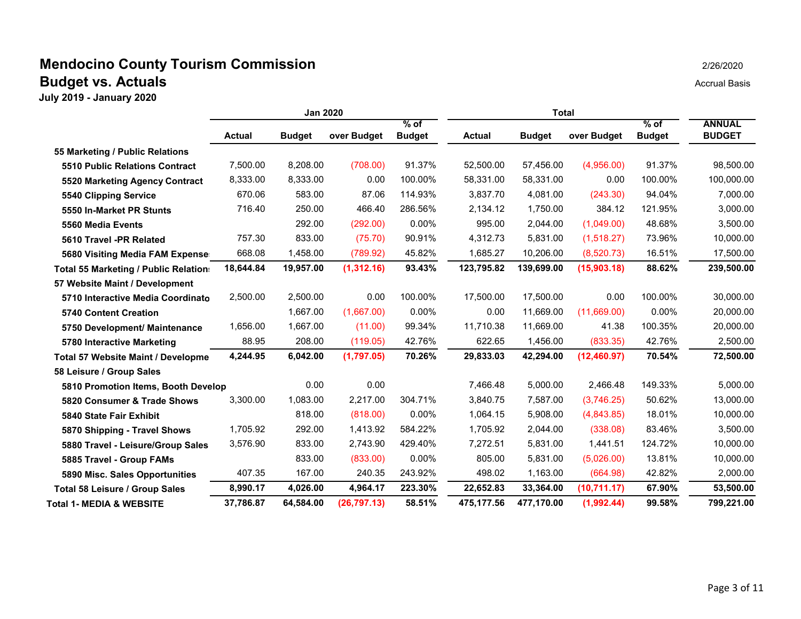|                                       | Jan 2020      |               |              | Total                   |               |               |              |                         |                                |
|---------------------------------------|---------------|---------------|--------------|-------------------------|---------------|---------------|--------------|-------------------------|--------------------------------|
|                                       | <b>Actual</b> | <b>Budget</b> | over Budget  | $%$ of<br><b>Budget</b> | <b>Actual</b> | <b>Budget</b> | over Budget  | $%$ of<br><b>Budget</b> | <b>ANNUAL</b><br><b>BUDGET</b> |
| 55 Marketing / Public Relations       |               |               |              |                         |               |               |              |                         |                                |
| <b>5510 Public Relations Contract</b> | 7,500.00      | 8.208.00      | (708.00)     | 91.37%                  | 52,500.00     | 57,456.00     | (4,956.00)   | 91.37%                  | 98,500.00                      |
| 5520 Marketing Agency Contract        | 8,333.00      | 8,333.00      | 0.00         | 100.00%                 | 58.331.00     | 58.331.00     | 0.00         | 100.00%                 | 100,000.00                     |
| 5540 Clipping Service                 | 670.06        | 583.00        | 87.06        | 114.93%                 | 3.837.70      | 4,081.00      | (243.30)     | 94.04%                  | 7,000.00                       |
| 5550 In-Market PR Stunts              | 716.40        | 250.00        | 466.40       | 286.56%                 | 2,134.12      | 1,750.00      | 384.12       | 121.95%                 | 3,000.00                       |
| 5560 Media Events                     |               | 292.00        | (292.00)     | 0.00%                   | 995.00        | 2,044.00      | (1,049.00)   | 48.68%                  | 3,500.00                       |
| 5610 Travel -PR Related               | 757.30        | 833.00        | (75.70)      | 90.91%                  | 4,312.73      | 5,831.00      | (1,518.27)   | 73.96%                  | 10,000.00                      |
| 5680 Visiting Media FAM Expense       | 668.08        | 1,458.00      | (789.92)     | 45.82%                  | 1,685.27      | 10,206.00     | (8,520.73)   | 16.51%                  | 17,500.00                      |
| Total 55 Marketing / Public Relation: | 18,644.84     | 19,957.00     | (1,312.16)   | 93.43%                  | 123,795.82    | 139,699.00    | (15,903.18)  | 88.62%                  | 239,500.00                     |
| 57 Website Maint / Development        |               |               |              |                         |               |               |              |                         |                                |
| 5710 Interactive Media Coordinato     | 2,500.00      | 2,500.00      | 0.00         | 100.00%                 | 17,500.00     | 17,500.00     | 0.00         | 100.00%                 | 30,000.00                      |
| <b>5740 Content Creation</b>          |               | 1,667.00      | (1,667.00)   | 0.00%                   | 0.00          | 11,669.00     | (11,669.00)  | $0.00\%$                | 20,000.00                      |
| 5750 Development/ Maintenance         | 1,656.00      | 1,667.00      | (11.00)      | 99.34%                  | 11,710.38     | 11,669.00     | 41.38        | 100.35%                 | 20,000.00                      |
| 5780 Interactive Marketing            | 88.95         | 208.00        | (119.05)     | 42.76%                  | 622.65        | 1,456.00      | (833.35)     | 42.76%                  | 2,500.00                       |
| Total 57 Website Maint / Developme    | 4,244.95      | 6,042.00      | (1,797.05)   | 70.26%                  | 29,833.03     | 42,294.00     | (12,460.97)  | 70.54%                  | 72,500.00                      |
| 58 Leisure / Group Sales              |               |               |              |                         |               |               |              |                         |                                |
| 5810 Promotion Items, Booth Develop   |               | 0.00          | 0.00         |                         | 7,466.48      | 5,000.00      | 2,466.48     | 149.33%                 | 5,000.00                       |
| 5820 Consumer & Trade Shows           | 3,300.00      | 1,083.00      | 2,217.00     | 304.71%                 | 3,840.75      | 7,587.00      | (3,746.25)   | 50.62%                  | 13,000.00                      |
| 5840 State Fair Exhibit               |               | 818.00        | (818.00)     | $0.00\%$                | 1,064.15      | 5,908.00      | (4,843.85)   | 18.01%                  | 10,000.00                      |
| 5870 Shipping - Travel Shows          | 1,705.92      | 292.00        | 1,413.92     | 584.22%                 | 1,705.92      | 2,044.00      | (338.08)     | 83.46%                  | 3,500.00                       |
| 5880 Travel - Leisure/Group Sales     | 3,576.90      | 833.00        | 2,743.90     | 429.40%                 | 7,272.51      | 5,831.00      | 1,441.51     | 124.72%                 | 10,000.00                      |
| 5885 Travel - Group FAMs              |               | 833.00        | (833.00)     | $0.00\%$                | 805.00        | 5,831.00      | (5,026.00)   | 13.81%                  | 10,000.00                      |
| 5890 Misc. Sales Opportunities        | 407.35        | 167.00        | 240.35       | 243.92%                 | 498.02        | 1,163.00      | (664.98)     | 42.82%                  | 2,000.00                       |
| Total 58 Leisure / Group Sales        | 8,990.17      | 4,026.00      | 4,964.17     | 223.30%                 | 22,652.83     | 33,364.00     | (10, 711.17) | 67.90%                  | 53,500.00                      |
| <b>Total 1- MEDIA &amp; WEBSITE</b>   | 37,786.87     | 64,584.00     | (26, 797.13) | 58.51%                  | 475,177.56    | 477,170.00    | (1,992.44)   | 99.58%                  | 799,221.00                     |
|                                       |               |               |              |                         |               |               |              |                         |                                |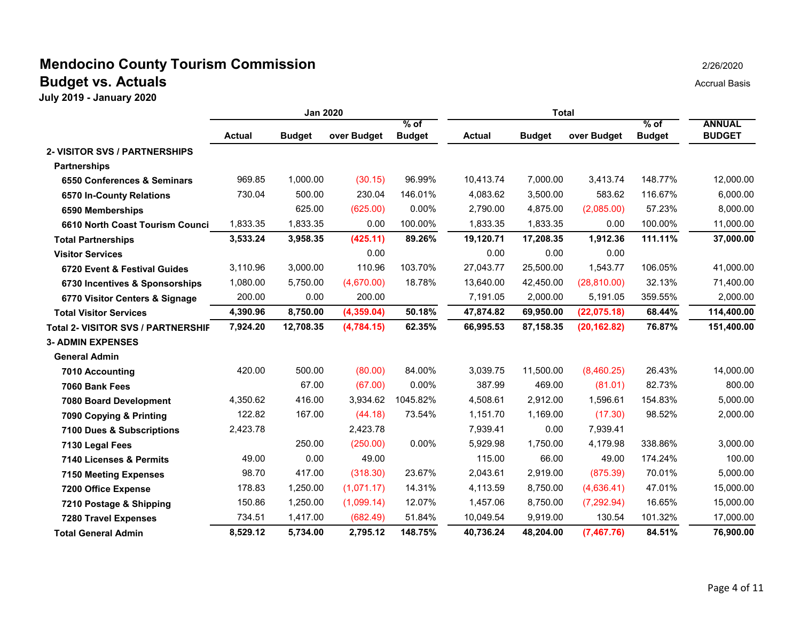|                                      | <b>Jan 2020</b> |               |             | Total                   |               |               |              |                         |                                |
|--------------------------------------|-----------------|---------------|-------------|-------------------------|---------------|---------------|--------------|-------------------------|--------------------------------|
|                                      | <b>Actual</b>   | <b>Budget</b> | over Budget | $%$ of<br><b>Budget</b> | <b>Actual</b> | <b>Budget</b> | over Budget  | $%$ of<br><b>Budget</b> | <b>ANNUAL</b><br><b>BUDGET</b> |
| <b>2- VISITOR SVS / PARTNERSHIPS</b> |                 |               |             |                         |               |               |              |                         |                                |
| <b>Partnerships</b>                  |                 |               |             |                         |               |               |              |                         |                                |
| 6550 Conferences & Seminars          | 969.85          | 1,000.00      | (30.15)     | 96.99%                  | 10,413.74     | 7,000.00      | 3,413.74     | 148.77%                 | 12,000.00                      |
| 6570 In-County Relations             | 730.04          | 500.00        | 230.04      | 146.01%                 | 4,083.62      | 3,500.00      | 583.62       | 116.67%                 | 6,000.00                       |
| 6590 Memberships                     |                 | 625.00        | (625.00)    | 0.00%                   | 2,790.00      | 4,875.00      | (2,085.00)   | 57.23%                  | 8,000.00                       |
| 6610 North Coast Tourism Counci      | 1,833.35        | 1,833.35      | 0.00        | 100.00%                 | 1,833.35      | 1,833.35      | 0.00         | 100.00%                 | 11,000.00                      |
| <b>Total Partnerships</b>            | 3,533.24        | 3,958.35      | (425.11)    | 89.26%                  | 19,120.71     | 17,208.35     | 1,912.36     | 111.11%                 | 37,000.00                      |
| <b>Visitor Services</b>              |                 |               | 0.00        |                         | 0.00          | 0.00          | 0.00         |                         |                                |
| 6720 Event & Festival Guides         | 3,110.96        | 3,000.00      | 110.96      | 103.70%                 | 27,043.77     | 25,500.00     | 1,543.77     | 106.05%                 | 41,000.00                      |
| 6730 Incentives & Sponsorships       | 1,080.00        | 5,750.00      | (4,670.00)  | 18.78%                  | 13,640.00     | 42,450.00     | (28, 810.00) | 32.13%                  | 71,400.00                      |
| 6770 Visitor Centers & Signage       | 200.00          | 0.00          | 200.00      |                         | 7,191.05      | 2,000.00      | 5,191.05     | 359.55%                 | 2,000.00                       |
| <b>Total Visitor Services</b>        | 4,390.96        | 8,750.00      | (4,359.04)  | 50.18%                  | 47,874.82     | 69,950.00     | (22,075.18)  | 68.44%                  | 114,400.00                     |
| Total 2- VISITOR SVS / PARTNERSHIF   | 7,924.20        | 12,708.35     | (4,784.15)  | 62.35%                  | 66,995.53     | 87,158.35     | (20, 162.82) | 76.87%                  | 151,400.00                     |
| <b>3- ADMIN EXPENSES</b>             |                 |               |             |                         |               |               |              |                         |                                |
| <b>General Admin</b>                 |                 |               |             |                         |               |               |              |                         |                                |
| 7010 Accounting                      | 420.00          | 500.00        | (80.00)     | 84.00%                  | 3.039.75      | 11.500.00     | (8,460.25)   | 26.43%                  | 14,000.00                      |
| 7060 Bank Fees                       |                 | 67.00         | (67.00)     | 0.00%                   | 387.99        | 469.00        | (81.01)      | 82.73%                  | 800.00                         |
| <b>7080 Board Development</b>        | 4,350.62        | 416.00        | 3,934.62    | 1045.82%                | 4,508.61      | 2,912.00      | 1,596.61     | 154.83%                 | 5,000.00                       |
| 7090 Copying & Printing              | 122.82          | 167.00        | (44.18)     | 73.54%                  | 1,151.70      | 1,169.00      | (17.30)      | 98.52%                  | 2,000.00                       |
| 7100 Dues & Subscriptions            | 2,423.78        |               | 2,423.78    |                         | 7,939.41      | 0.00          | 7,939.41     |                         |                                |
| 7130 Legal Fees                      |                 | 250.00        | (250.00)    | 0.00%                   | 5,929.98      | 1,750.00      | 4,179.98     | 338.86%                 | 3,000.00                       |
| 7140 Licenses & Permits              | 49.00           | 0.00          | 49.00       |                         | 115.00        | 66.00         | 49.00        | 174.24%                 | 100.00                         |
| <b>7150 Meeting Expenses</b>         | 98.70           | 417.00        | (318.30)    | 23.67%                  | 2,043.61      | 2,919.00      | (875.39)     | 70.01%                  | 5,000.00                       |
| 7200 Office Expense                  | 178.83          | 1,250.00      | (1,071.17)  | 14.31%                  | 4,113.59      | 8,750.00      | (4,636.41)   | 47.01%                  | 15,000.00                      |
| 7210 Postage & Shipping              | 150.86          | 1,250.00      | (1,099.14)  | 12.07%                  | 1,457.06      | 8,750.00      | (7, 292.94)  | 16.65%                  | 15,000.00                      |
| <b>7280 Travel Expenses</b>          | 734.51          | 1,417.00      | (682.49)    | 51.84%                  | 10,049.54     | 9,919.00      | 130.54       | 101.32%                 | 17,000.00                      |
| <b>Total General Admin</b>           | 8,529.12        | 5,734.00      | 2,795.12    | 148.75%                 | 40,736.24     | 48,204.00     | (7,467.76)   | 84.51%                  | 76,900.00                      |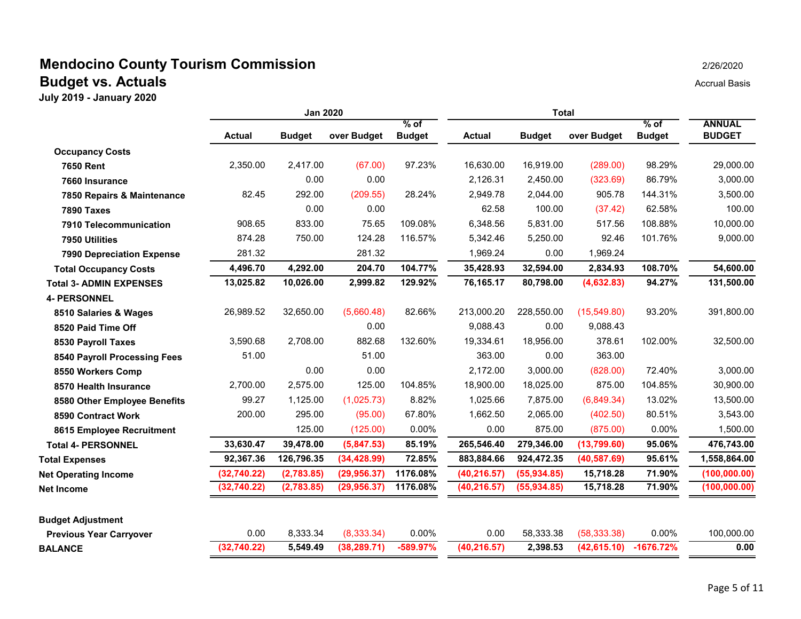|                                  | <b>Jan 2020</b> |               |              | Total                   |               |               |              |                         |                                |
|----------------------------------|-----------------|---------------|--------------|-------------------------|---------------|---------------|--------------|-------------------------|--------------------------------|
|                                  | <b>Actual</b>   | <b>Budget</b> | over Budget  | $%$ of<br><b>Budget</b> | <b>Actual</b> | <b>Budget</b> | over Budget  | $%$ of<br><b>Budget</b> | <b>ANNUAL</b><br><b>BUDGET</b> |
| <b>Occupancy Costs</b>           |                 |               |              |                         |               |               |              |                         |                                |
| <b>7650 Rent</b>                 | 2,350.00        | 2.417.00      | (67.00)      | 97.23%                  | 16,630.00     | 16,919.00     | (289.00)     | 98.29%                  | 29,000.00                      |
| 7660 Insurance                   |                 | 0.00          | 0.00         |                         | 2,126.31      | 2,450.00      | (323.69)     | 86.79%                  | 3,000.00                       |
| 7850 Repairs & Maintenance       | 82.45           | 292.00        | (209.55)     | 28.24%                  | 2,949.78      | 2,044.00      | 905.78       | 144.31%                 | 3,500.00                       |
| <b>7890 Taxes</b>                |                 | 0.00          | 0.00         |                         | 62.58         | 100.00        | (37.42)      | 62.58%                  | 100.00                         |
| 7910 Telecommunication           | 908.65          | 833.00        | 75.65        | 109.08%                 | 6.348.56      | 5,831.00      | 517.56       | 108.88%                 | 10,000.00                      |
| 7950 Utilities                   | 874.28          | 750.00        | 124.28       | 116.57%                 | 5,342.46      | 5,250.00      | 92.46        | 101.76%                 | 9,000.00                       |
| <b>7990 Depreciation Expense</b> | 281.32          |               | 281.32       |                         | 1,969.24      | 0.00          | 1,969.24     |                         |                                |
| <b>Total Occupancy Costs</b>     | 4,496.70        | 4,292.00      | 204.70       | 104.77%                 | 35,428.93     | 32,594.00     | 2,834.93     | 108.70%                 | 54,600.00                      |
| <b>Total 3- ADMIN EXPENSES</b>   | 13,025.82       | 10,026.00     | 2,999.82     | 129.92%                 | 76,165.17     | 80,798.00     | (4,632.83)   | 94.27%                  | 131,500.00                     |
| <b>4- PERSONNEL</b>              |                 |               |              |                         |               |               |              |                         |                                |
| 8510 Salaries & Wages            | 26,989.52       | 32,650.00     | (5,660.48)   | 82.66%                  | 213,000.20    | 228,550.00    | (15,549.80)  | 93.20%                  | 391,800.00                     |
| 8520 Paid Time Off               |                 |               | 0.00         |                         | 9,088.43      | 0.00          | 9,088.43     |                         |                                |
| 8530 Payroll Taxes               | 3,590.68        | 2,708.00      | 882.68       | 132.60%                 | 19,334.61     | 18,956.00     | 378.61       | 102.00%                 | 32,500.00                      |
| 8540 Payroll Processing Fees     | 51.00           |               | 51.00        |                         | 363.00        | 0.00          | 363.00       |                         |                                |
| 8550 Workers Comp                |                 | 0.00          | 0.00         |                         | 2,172.00      | 3,000.00      | (828.00)     | 72.40%                  | 3,000.00                       |
| 8570 Health Insurance            | 2,700.00        | 2,575.00      | 125.00       | 104.85%                 | 18,900.00     | 18,025.00     | 875.00       | 104.85%                 | 30,900.00                      |
| 8580 Other Employee Benefits     | 99.27           | 1,125.00      | (1,025.73)   | 8.82%                   | 1,025.66      | 7,875.00      | (6,849.34)   | 13.02%                  | 13,500.00                      |
| 8590 Contract Work               | 200.00          | 295.00        | (95.00)      | 67.80%                  | 1,662.50      | 2,065.00      | (402.50)     | 80.51%                  | 3,543.00                       |
| 8615 Employee Recruitment        |                 | 125.00        | (125.00)     | 0.00%                   | 0.00          | 875.00        | (875.00)     | 0.00%                   | 1,500.00                       |
| <b>Total 4- PERSONNEL</b>        | 33,630.47       | 39,478.00     | (5,847.53)   | 85.19%                  | 265,546.40    | 279,346.00    | (13,799.60)  | 95.06%                  | 476,743.00                     |
| <b>Total Expenses</b>            | 92,367.36       | 126,796.35    | (34, 428.99) | 72.85%                  | 883,884.66    | 924,472.35    | (40, 587.69) | 95.61%                  | 1,558,864.00                   |
| <b>Net Operating Income</b>      | (32,740.22)     | (2,783.85)    | (29, 956.37) | 1176.08%                | (40, 216.57)  | (55, 934.85)  | 15,718.28    | 71.90%                  | (100, 000.00)                  |
| <b>Net Income</b>                | (32, 740.22)    | (2,783.85)    | (29, 956.37) | 1176.08%                | (40, 216.57)  | (55, 934.85)  | 15,718.28    | 71.90%                  | (100, 000.00)                  |
| <b>Budget Adjustment</b>         |                 |               |              |                         |               |               |              |                         |                                |
| <b>Previous Year Carryover</b>   | 0.00            | 8,333.34      | (8,333.34)   | 0.00%                   | 0.00          | 58,333.38     | (58, 333.38) | 0.00%                   | 100,000.00                     |
| <b>BALANCE</b>                   | (32, 740.22)    | 5,549.49      | (38, 289.71) | -589.97%                | (40, 216.57)  | 2,398.53      | (42, 615.10) | $-1676.72%$             | 0.00                           |
|                                  |                 |               |              |                         |               |               |              |                         |                                |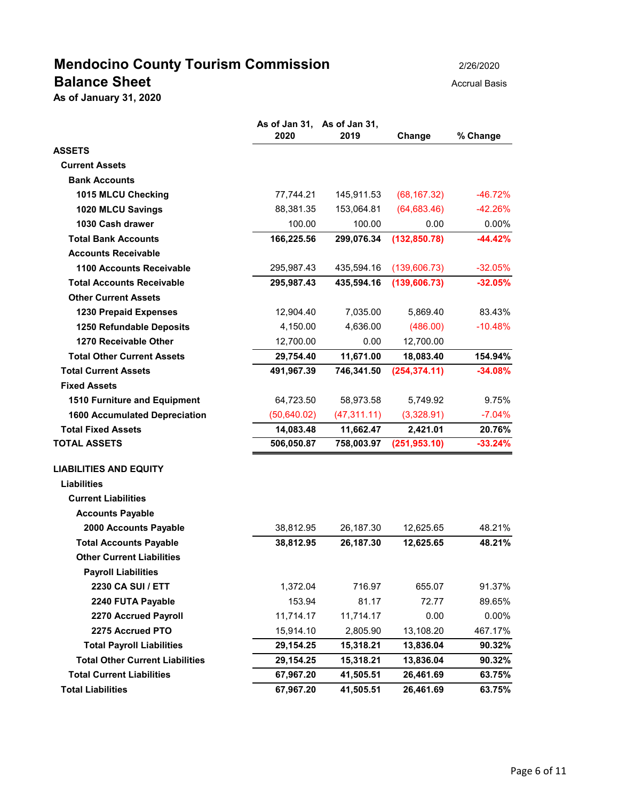# **Mendocino County Tourism Commission** 2/26/2020 **Balance Sheet** Accrual Basis **Balance Sheet**

**As of January 31, 2020**

|                                        | 2020        | As of Jan 31, As of Jan 31,<br>2019 | Change        | % Change  |
|----------------------------------------|-------------|-------------------------------------|---------------|-----------|
| <b>ASSETS</b>                          |             |                                     |               |           |
| <b>Current Assets</b>                  |             |                                     |               |           |
| <b>Bank Accounts</b>                   |             |                                     |               |           |
| 1015 MLCU Checking                     | 77,744.21   | 145,911.53                          | (68, 167.32)  | $-46.72%$ |
| 1020 MLCU Savings                      | 88,381.35   | 153,064.81                          | (64, 683.46)  | $-42.26%$ |
| 1030 Cash drawer                       | 100.00      | 100.00                              | 0.00          | 0.00%     |
| <b>Total Bank Accounts</b>             | 166,225.56  | 299,076.34                          | (132, 850.78) | $-44.42%$ |
| <b>Accounts Receivable</b>             |             |                                     |               |           |
| <b>1100 Accounts Receivable</b>        | 295,987.43  | 435,594.16                          | (139,606.73)  | $-32.05%$ |
| <b>Total Accounts Receivable</b>       | 295,987.43  | 435,594.16                          | (139, 606.73) | $-32.05%$ |
| <b>Other Current Assets</b>            |             |                                     |               |           |
| <b>1230 Prepaid Expenses</b>           | 12,904.40   | 7,035.00                            | 5,869.40      | 83.43%    |
| 1250 Refundable Deposits               | 4,150.00    | 4,636.00                            | (486.00)      | $-10.48%$ |
| 1270 Receivable Other                  | 12,700.00   | 0.00                                | 12,700.00     |           |
| <b>Total Other Current Assets</b>      | 29,754.40   | 11,671.00                           | 18,083.40     | 154.94%   |
| <b>Total Current Assets</b>            | 491,967.39  | 746,341.50                          | (254, 374.11) | $-34.08%$ |
| <b>Fixed Assets</b>                    |             |                                     |               |           |
| 1510 Furniture and Equipment           | 64,723.50   | 58,973.58                           | 5,749.92      | 9.75%     |
| <b>1600 Accumulated Depreciation</b>   | (50,640.02) | (47, 311.11)                        | (3,328.91)    | $-7.04%$  |
| <b>Total Fixed Assets</b>              | 14,083.48   | 11,662.47                           | 2,421.01      | 20.76%    |
| <b>TOTAL ASSETS</b>                    | 506,050.87  | 758,003.97                          | (251, 953.10) | $-33.24%$ |
| <b>LIABILITIES AND EQUITY</b>          |             |                                     |               |           |
| <b>Liabilities</b>                     |             |                                     |               |           |
| <b>Current Liabilities</b>             |             |                                     |               |           |
| <b>Accounts Payable</b>                |             |                                     |               |           |
| 2000 Accounts Payable                  | 38,812.95   | 26,187.30                           | 12,625.65     | 48.21%    |
| <b>Total Accounts Payable</b>          | 38,812.95   | 26,187.30                           | 12,625.65     | 48.21%    |
| <b>Other Current Liabilities</b>       |             |                                     |               |           |
| <b>Payroll Liabilities</b>             |             |                                     |               |           |
| 2230 CA SUI / ETT                      | 1,372.04    | 716.97                              | 655.07        | 91.37%    |
| 2240 FUTA Payable                      | 153.94      | 81.17                               | 72.77         | 89.65%    |
| 2270 Accrued Payroll                   | 11,714.17   | 11,714.17                           | 0.00          | $0.00\%$  |
| 2275 Accrued PTO                       | 15,914.10   | 2,805.90                            | 13,108.20     | 467.17%   |
| <b>Total Payroll Liabilities</b>       | 29,154.25   | 15,318.21                           | 13,836.04     | 90.32%    |
| <b>Total Other Current Liabilities</b> | 29,154.25   | 15,318.21                           | 13,836.04     | 90.32%    |
| <b>Total Current Liabilities</b>       | 67,967.20   | 41,505.51                           | 26,461.69     | 63.75%    |
| <b>Total Liabilities</b>               | 67,967.20   | 41,505.51                           | 26,461.69     | 63.75%    |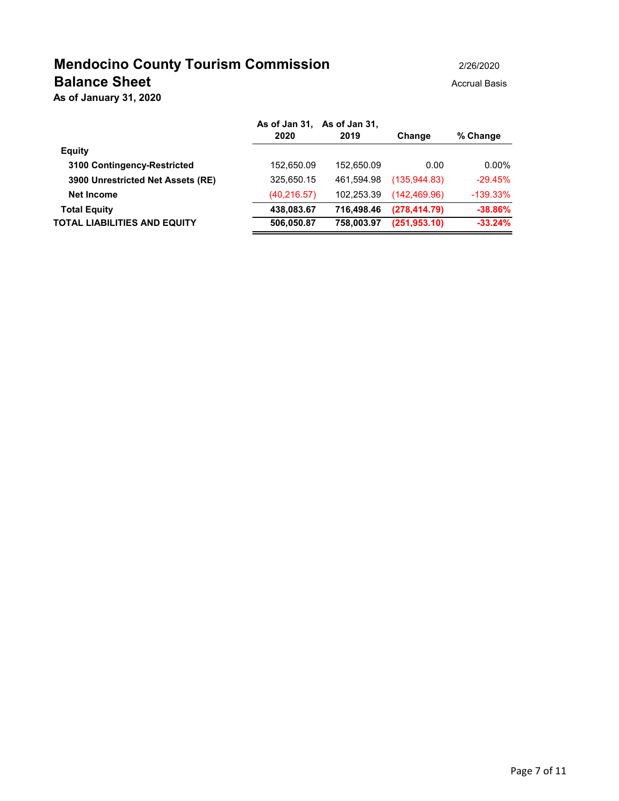## **Mendocino County Tourism Commission** 2/26/2020 **Balance Sheet** Accrual Basis Accrual Basis

**As of January 31, 2020**

|                                   | As of Jan 31, As of Jan 31,<br>2020 | 2019       | Change        | % Change   |
|-----------------------------------|-------------------------------------|------------|---------------|------------|
| <b>Equity</b>                     |                                     |            |               |            |
| 3100 Contingency-Restricted       | 152,650.09                          | 152.650.09 | 0.00          | 0.00%      |
| 3900 Unrestricted Net Assets (RE) | 325,650.15                          | 461.594.98 | (135.944.83)  | $-29.45%$  |
| Net Income                        | (40, 216.57)                        | 102.253.39 | (142, 469.96) | $-139.33%$ |
| <b>Total Equity</b>               | 438,083.67                          | 716.498.46 | (278, 414.79) | $-38.86%$  |
| TOTAL LIABILITIES AND EQUITY      | 506,050.87                          | 758.003.97 | (251, 953.10) | $-33.24%$  |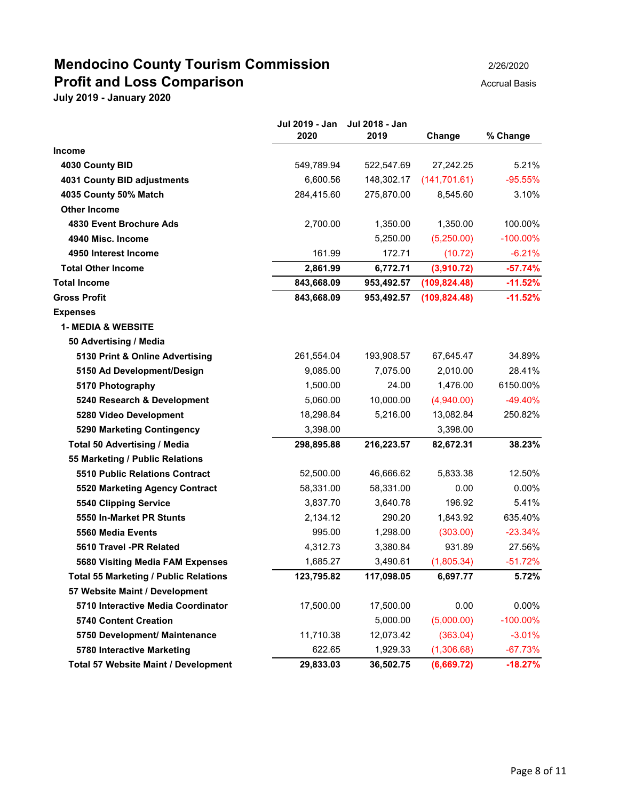## **Mendocino County Tourism Commission** 2/26/2020 **Profit and Loss Comparison Accrual Basis**

|                                              | Jul 2019 - Jan<br>2020 | Jul 2018 - Jan<br>2019 | Change        | % Change    |
|----------------------------------------------|------------------------|------------------------|---------------|-------------|
| Income                                       |                        |                        |               |             |
| 4030 County BID                              | 549,789.94             | 522,547.69             | 27,242.25     | 5.21%       |
| 4031 County BID adjustments                  | 6,600.56               | 148,302.17             | (141, 701.61) | $-95.55%$   |
| 4035 County 50% Match                        | 284,415.60             | 275,870.00             | 8,545.60      | 3.10%       |
| <b>Other Income</b>                          |                        |                        |               |             |
| 4830 Event Brochure Ads                      | 2,700.00               | 1,350.00               | 1,350.00      | 100.00%     |
| 4940 Misc. Income                            |                        | 5,250.00               | (5,250.00)    | $-100.00\%$ |
| 4950 Interest Income                         | 161.99                 | 172.71                 | (10.72)       | $-6.21%$    |
| <b>Total Other Income</b>                    | 2,861.99               | 6,772.71               | (3,910.72)    | $-57.74%$   |
| <b>Total Income</b>                          | 843,668.09             | 953,492.57             | (109, 824.48) | $-11.52%$   |
| <b>Gross Profit</b>                          | 843,668.09             | 953,492.57             | (109, 824.48) | $-11.52%$   |
| <b>Expenses</b>                              |                        |                        |               |             |
| <b>1- MEDIA &amp; WEBSITE</b>                |                        |                        |               |             |
| 50 Advertising / Media                       |                        |                        |               |             |
| 5130 Print & Online Advertising              | 261,554.04             | 193,908.57             | 67,645.47     | 34.89%      |
| 5150 Ad Development/Design                   | 9,085.00               | 7,075.00               | 2,010.00      | 28.41%      |
| 5170 Photography                             | 1,500.00               | 24.00                  | 1,476.00      | 6150.00%    |
| 5240 Research & Development                  | 5,060.00               | 10,000.00              | (4,940.00)    | $-49.40%$   |
| 5280 Video Development                       | 18,298.84              | 5,216.00               | 13,082.84     | 250.82%     |
| 5290 Marketing Contingency                   | 3,398.00               |                        | 3,398.00      |             |
| <b>Total 50 Advertising / Media</b>          | 298,895.88             | 216,223.57             | 82,672.31     | 38.23%      |
| 55 Marketing / Public Relations              |                        |                        |               |             |
| <b>5510 Public Relations Contract</b>        | 52,500.00              | 46,666.62              | 5,833.38      | 12.50%      |
| 5520 Marketing Agency Contract               | 58,331.00              | 58,331.00              | 0.00          | $0.00\%$    |
| 5540 Clipping Service                        | 3,837.70               | 3,640.78               | 196.92        | 5.41%       |
| 5550 In-Market PR Stunts                     | 2,134.12               | 290.20                 | 1,843.92      | 635.40%     |
| 5560 Media Events                            | 995.00                 | 1,298.00               | (303.00)      | $-23.34%$   |
| 5610 Travel -PR Related                      | 4,312.73               | 3,380.84               | 931.89        | 27.56%      |
| 5680 Visiting Media FAM Expenses             | 1,685.27               | 3,490.61               | (1,805.34)    | $-51.72%$   |
| <b>Total 55 Marketing / Public Relations</b> | 123,795.82             | 117,098.05             | 6,697.77      | 5.72%       |
| 57 Website Maint / Development               |                        |                        |               |             |
| 5710 Interactive Media Coordinator           | 17,500.00              | 17,500.00              | 0.00          | $0.00\%$    |
| <b>5740 Content Creation</b>                 |                        | 5,000.00               | (5,000.00)    | $-100.00\%$ |
| 5750 Development/ Maintenance                | 11,710.38              | 12,073.42              | (363.04)      | $-3.01%$    |
| 5780 Interactive Marketing                   | 622.65                 | 1,929.33               | (1,306.68)    | $-67.73%$   |
| Total 57 Website Maint / Development         | 29,833.03              | 36,502.75              | (6,669.72)    | $-18.27%$   |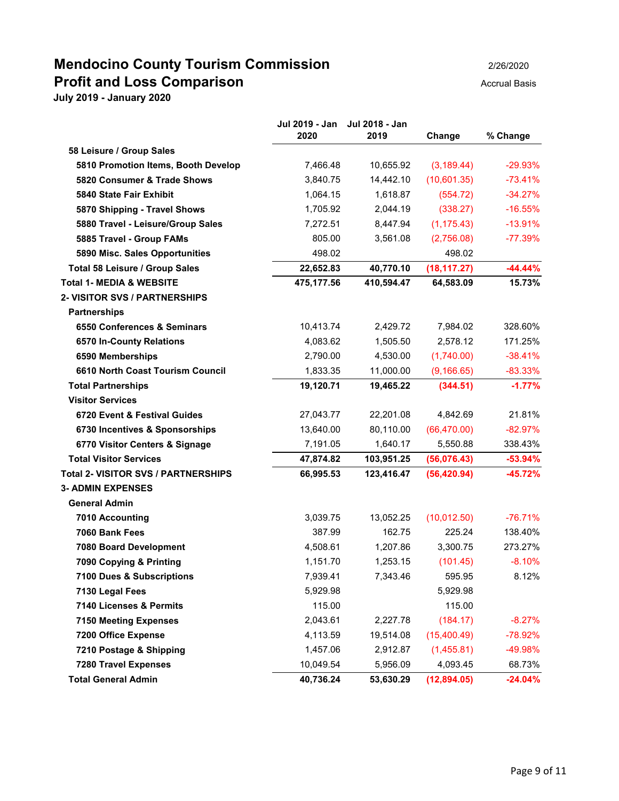### **Mendocino County Tourism Commission** 2/26/2020 **Profit and Loss Comparison Accrual Basis**

|                                            | Jul 2019 - Jan<br>2020 | Jul 2018 - Jan<br>2019 | Change       | % Change  |
|--------------------------------------------|------------------------|------------------------|--------------|-----------|
| 58 Leisure / Group Sales                   |                        |                        |              |           |
| 5810 Promotion Items, Booth Develop        | 7,466.48               | 10,655.92              | (3, 189.44)  | $-29.93%$ |
| 5820 Consumer & Trade Shows                | 3,840.75               | 14,442.10              | (10,601.35)  | $-73.41%$ |
| 5840 State Fair Exhibit                    | 1,064.15               | 1,618.87               | (554.72)     | $-34.27%$ |
| 5870 Shipping - Travel Shows               | 1,705.92               | 2,044.19               | (338.27)     | $-16.55%$ |
| 5880 Travel - Leisure/Group Sales          | 7,272.51               | 8,447.94               | (1, 175.43)  | $-13.91%$ |
| 5885 Travel - Group FAMs                   | 805.00                 | 3,561.08               | (2,756.08)   | $-77.39%$ |
| 5890 Misc. Sales Opportunities             | 498.02                 |                        | 498.02       |           |
| Total 58 Leisure / Group Sales             | 22,652.83              | 40,770.10              | (18, 117.27) | $-44.44%$ |
| <b>Total 1- MEDIA &amp; WEBSITE</b>        | 475,177.56             | 410,594.47             | 64,583.09    | 15.73%    |
| 2- VISITOR SVS / PARTNERSHIPS              |                        |                        |              |           |
| <b>Partnerships</b>                        |                        |                        |              |           |
| 6550 Conferences & Seminars                | 10,413.74              | 2,429.72               | 7,984.02     | 328.60%   |
| 6570 In-County Relations                   | 4,083.62               | 1,505.50               | 2,578.12     | 171.25%   |
| 6590 Memberships                           | 2,790.00               | 4,530.00               | (1,740.00)   | $-38.41%$ |
| 6610 North Coast Tourism Council           | 1,833.35               | 11,000.00              | (9, 166.65)  | $-83.33%$ |
| <b>Total Partnerships</b>                  | 19,120.71              | 19,465.22              | (344.51)     | $-1.77%$  |
| <b>Visitor Services</b>                    |                        |                        |              |           |
| 6720 Event & Festival Guides               | 27,043.77              | 22,201.08              | 4,842.69     | 21.81%    |
| 6730 Incentives & Sponsorships             | 13,640.00              | 80,110.00              | (66, 470.00) | $-82.97%$ |
| 6770 Visitor Centers & Signage             | 7,191.05               | 1,640.17               | 5,550.88     | 338.43%   |
| <b>Total Visitor Services</b>              | 47,874.82              | 103,951.25             | (56,076.43)  | $-53.94%$ |
| <b>Total 2- VISITOR SVS / PARTNERSHIPS</b> | 66,995.53              | 123,416.47             | (56, 420.94) | $-45.72%$ |
| <b>3- ADMIN EXPENSES</b>                   |                        |                        |              |           |
| <b>General Admin</b>                       |                        |                        |              |           |
| 7010 Accounting                            | 3,039.75               | 13,052.25              | (10,012.50)  | $-76.71%$ |
| 7060 Bank Fees                             | 387.99                 | 162.75                 | 225.24       | 138.40%   |
| 7080 Board Development                     | 4,508.61               | 1,207.86               | 3,300.75     | 273.27%   |
| 7090 Copying & Printing                    | 1,151.70               | 1,253.15               | (101.45)     | $-8.10%$  |
| 7100 Dues & Subscriptions                  | 7,939.41               | 7,343.46               | 595.95       | 8.12%     |
| 7130 Legal Fees                            | 5,929.98               |                        | 5,929.98     |           |
| 7140 Licenses & Permits                    | 115.00                 |                        | 115.00       |           |
| <b>7150 Meeting Expenses</b>               | 2,043.61               | 2,227.78               | (184.17)     | $-8.27%$  |
| 7200 Office Expense                        | 4,113.59               | 19,514.08              | (15,400.49)  | $-78.92%$ |
| 7210 Postage & Shipping                    | 1,457.06               | 2,912.87               | (1,455.81)   | -49.98%   |
| <b>7280 Travel Expenses</b>                | 10,049.54              | 5,956.09               | 4,093.45     | 68.73%    |
| <b>Total General Admin</b>                 | 40,736.24              | 53,630.29              | (12,894.05)  | $-24.04%$ |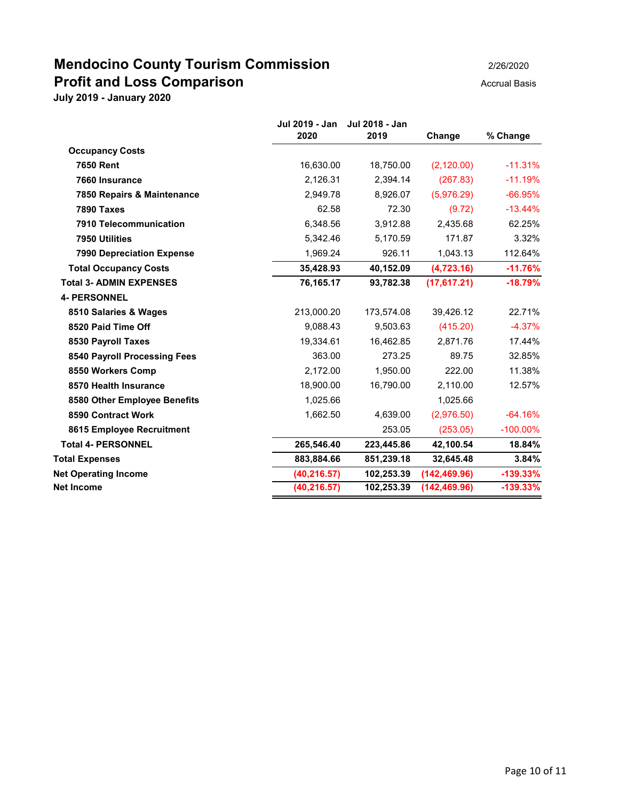## **Mendocino County Tourism Commission** 2/26/2020 **Profit and Loss Comparison Accrual Basis**

|                                  | Jul 2019 - Jan<br>2020 | Jul 2018 - Jan<br>2019 | Change        | % Change    |
|----------------------------------|------------------------|------------------------|---------------|-------------|
| <b>Occupancy Costs</b>           |                        |                        |               |             |
| <b>7650 Rent</b>                 | 16,630.00              | 18,750.00              | (2, 120.00)   | $-11.31%$   |
| 7660 Insurance                   | 2,126.31               | 2,394.14               | (267.83)      | $-11.19%$   |
| 7850 Repairs & Maintenance       | 2,949.78               | 8.926.07               | (5,976.29)    | $-66.95%$   |
| <b>7890 Taxes</b>                | 62.58                  | 72.30                  | (9.72)        | $-13.44\%$  |
| 7910 Telecommunication           | 6,348.56               | 3,912.88               | 2,435.68      | 62.25%      |
| 7950 Utilities                   | 5,342.46               | 5,170.59               | 171.87        | 3.32%       |
| <b>7990 Depreciation Expense</b> | 1,969.24               | 926.11                 | 1,043.13      | 112.64%     |
| <b>Total Occupancy Costs</b>     | 35,428.93              | 40,152.09              | (4,723.16)    | $-11.76%$   |
| <b>Total 3- ADMIN EXPENSES</b>   | 76,165.17              | 93,782.38              | (17,617.21)   | $-18.79%$   |
| <b>4- PERSONNEL</b>              |                        |                        |               |             |
| 8510 Salaries & Wages            | 213,000.20             | 173,574.08             | 39,426.12     | 22.71%      |
| 8520 Paid Time Off               | 9,088.43               | 9,503.63               | (415.20)      | $-4.37%$    |
| 8530 Payroll Taxes               | 19,334.61              | 16,462.85              | 2,871.76      | 17.44%      |
| 8540 Payroll Processing Fees     | 363.00                 | 273.25                 | 89.75         | 32.85%      |
| 8550 Workers Comp                | 2,172.00               | 1,950.00               | 222.00        | 11.38%      |
| 8570 Health Insurance            | 18,900.00              | 16,790.00              | 2,110.00      | 12.57%      |
| 8580 Other Employee Benefits     | 1,025.66               |                        | 1,025.66      |             |
| 8590 Contract Work               | 1,662.50               | 4,639.00               | (2,976.50)    | $-64.16%$   |
| 8615 Employee Recruitment        |                        | 253.05                 | (253.05)      | $-100.00\%$ |
| <b>Total 4- PERSONNEL</b>        | 265,546.40             | 223,445.86             | 42,100.54     | 18.84%      |
| <b>Total Expenses</b>            | 883,884.66             | 851,239.18             | 32,645.48     | 3.84%       |
| <b>Net Operating Income</b>      | (40, 216.57)           | 102,253.39             | (142, 469.96) | $-139.33%$  |
| <b>Net Income</b>                | (40, 216.57)           | 102,253.39             | (142, 469.96) | $-139.33%$  |